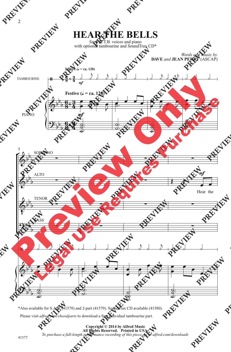## **HEAR THE BELLS**

for S.A.T.B. voices and piano with optional tambourine and SoundTrax CD\*

> *Words and Music by* **DAVE** *and* **JEAN PERRY** (ASCAP)



<sup>\*</sup>Also available for S.A.B. (41578) and 2-part (41579). SoundTrax CD available (41580).

Please visit *alfred.com/choralparts* to download a free individual tambourine part.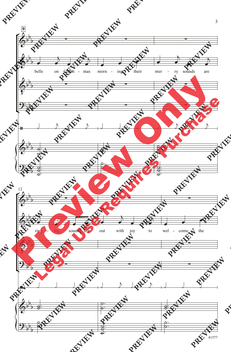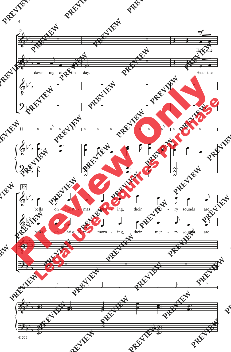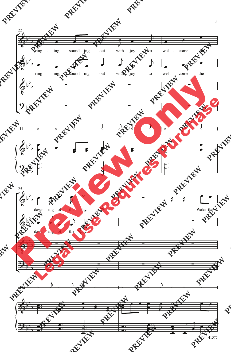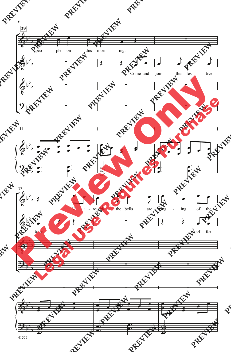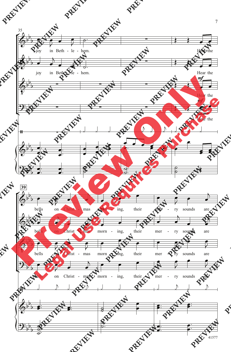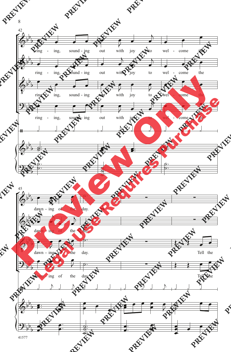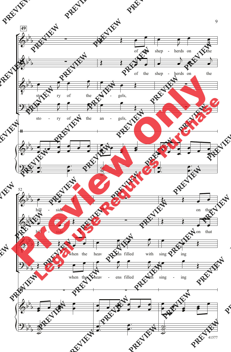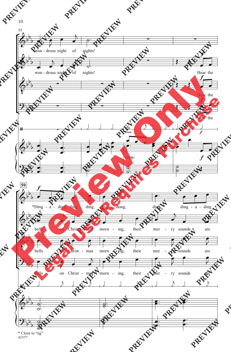

<sup>41577</sup>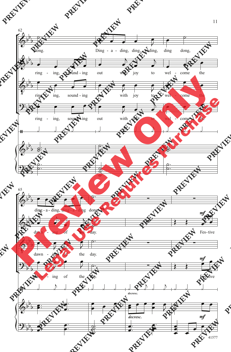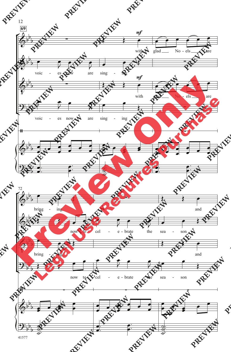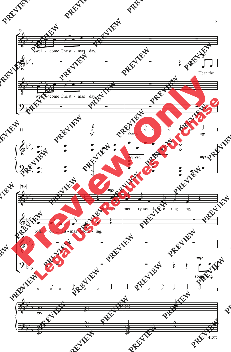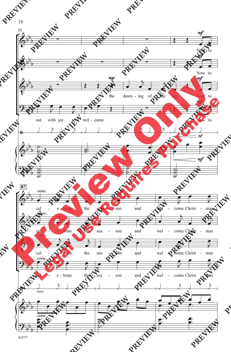